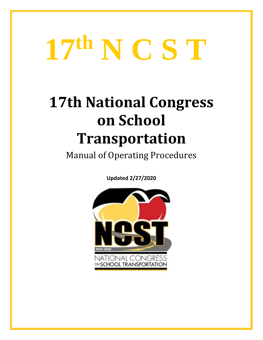# **17th N C S T**

# **17th National Congress on School Transportation**

Manual of Operating Procedures

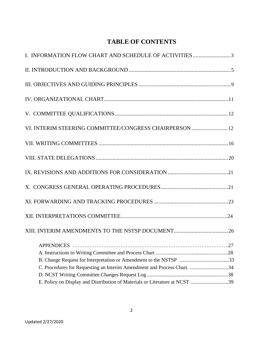# **TABLE OF CONTENTS**

| I. INFORMATION FLOW CHART AND SCHEDULE OF ACTIVITIES 3                      |  |
|-----------------------------------------------------------------------------|--|
|                                                                             |  |
|                                                                             |  |
|                                                                             |  |
|                                                                             |  |
| VI. INTERIM STEERING COMMITTEE/CONGRESS CHAIRPERSON 12                      |  |
|                                                                             |  |
|                                                                             |  |
|                                                                             |  |
|                                                                             |  |
|                                                                             |  |
|                                                                             |  |
|                                                                             |  |
|                                                                             |  |
|                                                                             |  |
|                                                                             |  |
| C. Procedures for Requesting an Interim Amendment and Process Chart. 34     |  |
|                                                                             |  |
| E. Policy on Display and Distribution of Materials or Literature at NCST 39 |  |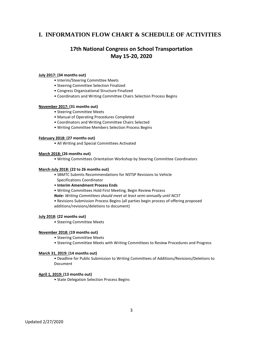# **I. INFORMATION FLOW CHART & SCHEDULE OF ACTIVITIES**

# **17th National Congress on School Transportation May 15-20, 2020**

#### **July 2017: (34 months out)**

- Interim/Steering Committee Meets
- Steering Committee Selection Finalized
- Congress Organizational Structure Finalized
- Coordinators and Writing Committee Chairs Selection Process Begins

#### **November 2017: (31 months out)**

- Steering Committee Meets
- Manual of Operating Procedures Completed
- Coordinators and Writing Committee Chairs Selected
- Writing Committee Members Selection Process Begins

#### **February 2018: (27 months out)**

• All Writing and Special Committees Activated

#### **March 2018: (26 months out)**

• Writing Committees Orientation Workshop by Steering Committee Coordinators

#### **March-July 2018: (22 to 26 months out)**

- SBMTC Submits Recommendations for NSTSP Revisions to Vehicle Specifications Coordinator
- **Interim Amendment Process Ends**
- Writing Committees Hold First Meeting, Begin Review Process
- *Note: Writing Committees should meet at least semi-annually until NCST*
- Revisions Submission Process Begins (all parties begin process of offering proposed additions/revisions/deletions to document)

#### **July 2018: (22 months out)**

• Steering Committee Meets

#### **November 2018: (19 months out)**

- Steering Committee Meets
- Steering Committee Meets with Writing Committees to Review Procedures and Progress

#### **March 31, 2019: (14 months out)**

• Deadline for Public Submission to Writing Committees of Additions/Revisions/Deletions to Document

#### **April 1, 2019: (13 months out)**

• State Delegation Selection Process Begins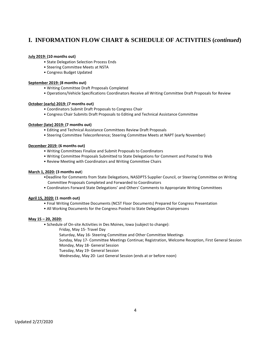# **I. INFORMATION FLOW CHART & SCHEDULE OF ACTIVITIES (***continued***)**

#### **July 2019: (10 months out)**

- State Delegation Selection Process Ends
- Steering Committee Meets at NSTA
- Congress Budget Updated

#### **September 2019: (8 months out)**

- Writing Committee Draft Proposals Completed
- Operations/Vehicle Specifications Coordinators Receive all Writing Committee Draft Proposals for Review

#### **October (early) 2019: (7 months out)**

- Coordinators Submit Draft Proposals to Congress Chair
- Congress Chair Submits Draft Proposals to Editing and Technical Assistance Committee

#### **October (late) 2019: (7 months out)**

- Editing and Technical Assistance Committees Review Draft Proposals
- Steering Committee Teleconference; Steering Committee Meets at NAPT (early November)

#### **December 2019: (6 months out)**

- Writing Committees Finalize and Submit Proposals to Coordinators
- Writing Committee Proposals Submitted to State Delegations for Comment and Posted to Web
- Review Meeting with Coordinators and Writing Committee Chairs

#### **March 1, 2020: (3 months out**)

- •Deadline for Comments from State Delegations, NASDPTS Supplier Council, or Steering Committee on Writing Committee Proposals Completed and Forwarded to Coordinators
- Coordinators Forward State Delegations' and Others' Comments to Appropriate Writing Committees

#### **April 15, 2020: (1 month out)**

- Final Writing Committee Documents (NCST Floor Documents) Prepared for Congress Presentation
- All Working Documents for the Congress Posted to State Delegation Chairpersons

#### **May 15 – 20, 2020:**

- Schedule of On-site Activities in Des Moines, Iowa (subject to change):
	- Friday, May 15- Travel Day

Saturday, May 16- Steering Committee and Other Committee Meetings

Sunday, May 17- Committee Meetings Continue; Registration, Welcome Reception, First General Session

Monday, May 18- General Session Tuesday, May 19- General Session

Wednesday, May 20- Last General Session (ends at or before noon)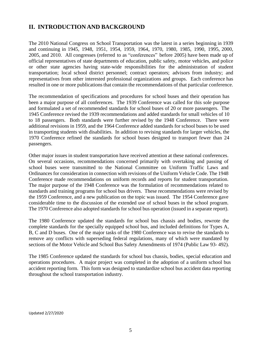# **II. INTRODUCTION AND BACKGROUND**

The 2010 National Congress on School Transportation was the latest in a series beginning in 1939 and continuing in 1945, 1948, 1951, 1954, 1959, 1964, 1970, 1980, 1985, 1990, 1995, 2000, 2005, and 2010. All congresses (referred to as "conferences" before 2005) have been made up of official representatives of state departments of education, public safety, motor vehicles, and police or other state agencies having state-wide responsibilities for the administration of student transportation; local school district personnel; contract operators; advisors from industry; and representatives from other interested professional organizations and groups. Each conference has resulted in one or more publications that contain the recommendations of that particular conference.

The recommendation of specifications and procedures for school buses and their operation has been a major purpose of all conferences. The 1939 Conference was called for this sole purpose and formulated a set of recommended standards for school buses of 20 or more passengers. The 1945 Conference revised the 1939 recommendations and added standards for small vehicles of 10 to 18 passengers. Both standards were further revised by the 1948 Conference. There were additional revisions in 1959, and the 1964 Conference added standards for school buses to be used in transporting students with disabilities. In addition to revising standards for larger vehicles, the 1970 Conference refined the standards for school buses designed to transport fewer than 24 passengers.

Other major issues in student transportation have received attention at these national conferences. On several occasions, recommendations concerned primarily with overtaking and passing of school buses were transmitted to the National Committee on Uniform Traffic Laws and Ordinances for consideration in connection with revisions of the Uniform Vehicle Code. The 1948 Conference made recommendations on uniform records and reports for student transportation. The major purpose of the 1948 Conference was the formulation of recommendations related to standards and training programs for school bus drivers. These recommendations were revised by the 1959 Conference, and a new publication on the topic was issued. The 1954 Conference gave considerable time to the discussion of the extended use of school buses in the school program. The 1970 Conference also adopted standards for school bus operation (issued in a separate report).

The 1980 Conference updated the standards for school bus chassis and bodies, rewrote the complete standards for the specially equipped school bus, and included definitions for Types A, B, C and D buses. One of the major tasks of the 1980 Conference was to revise the standards to remove any conflicts with superseding federal regulations, many of which were mandated by sections of the Motor Vehicle and School Bus Safety Amendments of 1974 (Public Law 93- 492).

The 1985 Conference updated the standards for school bus chassis, bodies, special education and operations procedures. A major project was completed in the adoption of a uniform school bus accident reporting form. This form was designed to standardize school bus accident data reporting throughout the school transportation industry.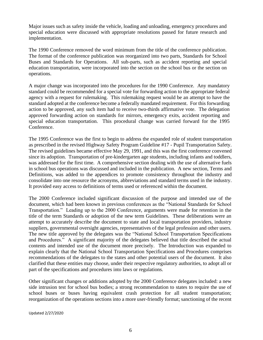Major issues such as safety inside the vehicle, loading and unloading, emergency procedures and special education were discussed with appropriate resolutions passed for future research and implementation.

The 1990 Conference removed the word minimum from the title of the conference publication. The format of the conference publication was reorganized into two parts, Standards for School Buses and Standards for Operations. All sub-parts, such as accident reporting and special education transportation, were incorporated into the section on the school bus or the section on operations.

A major change was incorporated into the procedures for the 1990 Conference. Any mandatory standard could be recommended for a special vote for forwarding action to the appropriate federal agency with a request for rulemaking. This rulemaking request would be an attempt to have the standard adopted at the conference become a federally mandated requirement. For this forwarding action to be approved, any such item had to receive two-thirds affirmative vote. The delegation approved forwarding action on standards for mirrors, emergency exits, accident reporting and special education transportation. This procedural change was carried forward for the 1995 Conference.

The 1995 Conference was the first to begin to address the expanded role of student transportation as prescribed in the revised Highway Safety Program Guideline #17 - Pupil Transportation Safety. The revised guidelines became effective May 29, 1991, and this was the first conference convened since its adoption. Transportation of pre-kindergarten age students, including infants and toddlers, was addressed for the first time. A comprehensive section dealing with the use of alternative fuels in school bus operations was discussed and included in the publication. A new section, Terms and Definitions, was added to the appendices to promote consistency throughout the industry and consolidate into one resource the acronyms, abbreviations and standard terms used in the industry. It provided easy access to definitions of terms used or referenced within the document.

The 2000 Conference included significant discussion of the purpose and intended use of the document, which had been known in previous conferences as the "National Standards for School Transportation." Leading up to the 2000 Conference, arguments were made for retention in the title of the term Standards or adoption of the new term Guidelines. These deliberations were an attempt to accurately describe the document to state and local transportation providers, industry suppliers, governmental oversight agencies, representatives of the legal profession and other users. The new title approved by the delegates was the "National School Transportation Specifications and Procedures." A significant majority of the delegates believed that title described the actual contents and intended use of the document more precisely. The Introduction was expanded to explain clearly that the National School Transportation Specifications and Procedures comprises recommendations of the delegates to the states and other potential users of the document. It also clarified that these entities may choose, under their respective regulatory authorities, to adopt all or part of the specifications and procedures into laws or regulations.

Other significant changes or additions adopted by the 2000 Conference delegates included: a new side intrusion test for school bus bodies; a strong recommendation to states to require the use of school buses or buses having equivalent crash protection for all student transportation; reorganization of the operations sections into a more user-friendly format; sanctioning of the recent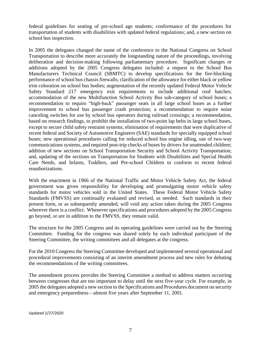federal guidelines for seating of pre-school age students; conformance of the procedures for transportation of students with disabilities with updated federal regulations; and, a new section on school bus inspection.

In 2005 the delegates changed the name of the conference to the National Congress on School Transportation to describe more accurately the longstanding nature of the proceedings, involving deliberation and decision-making following parliamentary procedure. Significant changes or additions adopted by the 2005 Congress delegates included: a request to the School Bus Manufacturers Technical Council (SBMTC) to develop specifications for the fire-blocking performance of school bus chassis firewalls; clarification of the allowance for either black or yellow trim coloration on school bus bodies; augmentation of the recently updated Federal Motor Vehicle Safety Standard 217 emergency exit requirements to include additional roof hatches; accommodation of the new Multifunction School Activity Bus sub-category of school buses; a recommendation to require "high-back" passenger seats in all large school buses as a further improvement to school bus passenger crash protection; a recommendation to require noise canceling switches for use by school bus operators during railroad crossings; a recommendation, based on research findings, to prohibit the installation of two-point lap belts in large school buses, except to secure child safety restraint systems; elimination of requirements that were duplicative of recent federal and Society of Automotive Engineers (SAE) standards for specially equipped school buses; new operational procedures calling for reduced school bus engine idling, use of two-way communications systems, and required post-trip checks of buses by drivers for unattended children; addition of new sections on School Transportation Security and School Activity Transportation; and, updating of the sections on Transportation for Students with Disabilities and Special Health Care Needs, and Infants, Toddlers, and Pre-school Children to conform to recent federal reauthorizations.

With the enactment in 1966 of the National Traffic and Motor Vehicle Safety Act, the federal government was given responsibility for developing and promulgating motor vehicle safety standards for motor vehicles sold in the United States. These Federal Motor Vehicle Safety Standards (FMVSS) are continually evaluated and revised, as needed. Such standards in their present form, or as subsequently amended, will void any action taken during the 2005 Congress wherever there is a conflict. Whenever specifications and procedures adopted by the 2005 Congress go beyond, or are in addition to the FMVSS, they remain valid.

The structure for the 2005 Congress and its operating guidelines were carried out by the Steering Committee. Funding for the congress was shared solely by each individual participant of the Steering Committee, the writing committees and all delegates at the congress.

For the 2010 Congress the Steering Committee developed and implemented several operational and procedural improvements consisting of an interim amendment process and new rules for debating the recommendations of the writing committees.

The amendment process provides the Steering Committee a method to address matters occurring between congresses that are too important to delay until the next five-year cycle. For example, in 2005 the delegates adopted a new section to the Specifications and Procedures document on security and emergency preparedness—almost five years after September 11, 2001.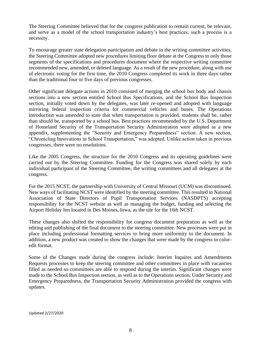The Steering Committee believed that for the congress publication to remain current, be relevant, and serve as a model of the school transportation industry's best practices, such a process is a necessity.

To encourage greater state delegation participation and debate in the writing committee activities, the Steering Committee adopted new procedures limiting floor debate at the Congress to only those segments of the specifications and procedures document where the respective writing committee recommended new, amended, or deleted language. As a result of the new procedure, along with use of electronic voting for the first time, the 2010 Congress completed its work in three days rather than the traditional four or five days of previous congresses.

Other significant delegate actions in 2010 consisted of merging the school bus body and chassis sections into a new section entitled School Bus Specifications, and the School Bus Inspection section, initially voted down by the delegates, was later re-opened and adopted with language mirroring federal inspection criteria for commercial vehicles and buses. The Operations introduction was amended to state that when transportation is provided, students shall be, rather than should be, transported by a school bus. Best practices recommended by the U.S. Department of Homeland Security of the Transportation Security Administration were adopted as a new appendix, supplementing the "Security and Emergency Preparedness" section. A new section, "Chronicling Innovations in School Transportation," was adopted. Unlike action taken in previous congresses, there were no resolutions.

Like the 2005 Congress, the structure for the 2010 Congress and its operating guidelines were carried out by the Steering Committee. Funding for the Congress was shared solely by each individual participant of the Steering Committee, the writing committees and all delegates at the congress.

For the 2015 NCST, the partnership with University of Central Missouri (UCM) was discontinued. New ways of facilitating NCST were identified by the steering committee. This resulted in National Association of State Directors of Pupil Transportation Services (NASDPTS) accepting responsibility for the NCST website as well as managing the budget, funding and selecting the Airport Holiday Inn located in Des Moines, Iowa, as the site for the 16th NCST.

These changes also shifted the responsibility for congress document preparation as well as the editing and publishing of the final document to the steering committee. New processes were put in place including professional formatting services to bring more uniformity to the document. In addition, a new product was created to show the changes that were made by the congress in coloredit format.

Some of the Changes made during the congress include: Interim Inquires and Amendments Requests processes to keep the steering committee and other committees in place with vacancies filled as needed so committees are able to respond during the interim. Significant changes were made to the School Bus Inspection section, as well as to the Operations section. Under Security and Emergency Preparedness, the Transportation Security Administration provided the congress with updates.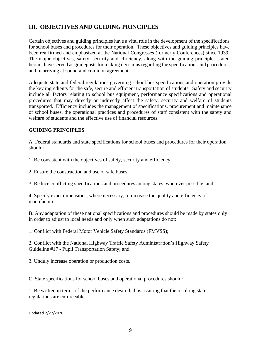# **III. OBJECTIVES AND GUIDING PRINCIPLES**

Certain objectives and guiding principles have a vital role in the development of the specifications for school buses and procedures for their operation. These objectives and guiding principles have been reaffirmed and emphasized at the National Congresses (formerly Conferences) since 1939. The major objectives, safety, security and efficiency, along with the guiding principles stated herein, have served as guideposts for making decisions regarding the specifications and procedures and in arriving at sound and common agreement.

Adequate state and federal regulations governing school bus specifications and operation provide the key ingredients for the safe, secure and efficient transportation of students. Safety and security include all factors relating to school bus equipment, performance specifications and operational procedures that may directly or indirectly affect the safety, security and welfare of students transported. Efficiency includes the management of specifications, procurement and maintenance of school buses, the operational practices and procedures of staff consistent with the safety and welfare of students and the effective use of financial resources.

#### **GUIDING PRINCIPLES**

A. Federal standards and state specifications for school buses and procedures for their operation should:

1. Be consistent with the objectives of safety, security and efficiency;

2. Ensure the construction and use of safe buses;

3. Reduce conflicting specifications and procedures among states, wherever possible; and

4. Specify exact dimensions, where necessary, to increase the quality and efficiency of manufacture.

B. Any adaptation of these national specifications and procedures should be made by states only in order to adjust to local needs and only when such adaptations do not:

1. Conflict with Federal Motor Vehicle Safety Standards (FMVSS);

2. Conflict with the National Highway Traffic Safety Administration's Highway Safety Guideline #17 - Pupil Transportation Safety; and

3. Unduly increase operation or production costs.

C. State specifications for school buses and operational procedures should:

1. Be written in terms of the performance desired, thus assuring that the resulting state regulations are enforceable.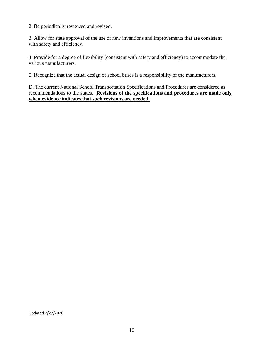2. Be periodically reviewed and revised.

3. Allow for state approval of the use of new inventions and improvements that are consistent with safety and efficiency.

4. Provide for a degree of flexibility (consistent with safety and efficiency) to accommodate the various manufacturers.

5. Recognize that the actual design of school buses is a responsibility of the manufacturers.

D. The current National School Transportation Specifications and Procedures are considered as recommendations to the states. **Revisions of the specifications and procedures are made only when evidence indicates that such revisions are needed.**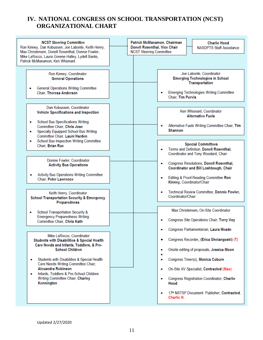# **IV. NATIONAL CONGRESS ON SCHOOL TRANSPORTATION (NCST) ORGANIZATIONAL CHART**

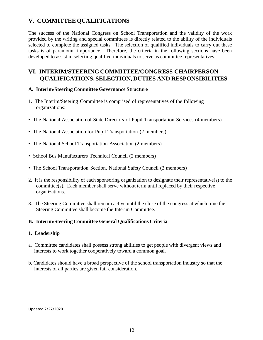# **V. COMMITTEE QUALIFICATIONS**

The success of the National Congress on School Transportation and the validity of the work provided by the writing and special committees is directly related to the ability of the individuals selected to complete the assigned tasks. The selection of qualified individuals to carry out these tasks is of paramount importance. Therefore, the criteria in the following sections have been developed to assist in selecting qualified individuals to serve as committee representatives.

# **VI. INTERIM/STEERINGCOMMITTEE/CONGRESS CHAIRPERSON QUALIFICATIONS, SELECTION, DUTIES AND RESPONSIBILITIES**

#### **A. Interim/Steering Committee Governance Structure**

- 1. The Interim/Steering Committee is comprised of representatives of the following organizations:
- The National Association of State Directors of Pupil Transportation Services (4 members)
- The National Association for Pupil Transportation (2 members)
- The National School Transportation Association (2 members)
- School Bus Manufacturers Technical Council (2 members)
- The School Transportation Section, National Safety Council (2 members)
- 2. It is the responsibility of each sponsoring organization to designate their representative(s) to the committee(s). Each member shall serve without term until replaced by their respective organizations.
- 3. The Steering Committee shall remain active until the close of the congress at which time the Steering Committee shall become the Interim Committee.

#### **B. Interim/Steering Committee General Qualifications Criteria**

#### **1. Leadership**

- a. Committee candidates shall possess strong abilities to get people with divergent views and interests to work together cooperatively toward a common goal.
- b. Candidates should have a broad perspective of the school transportation industry so that the interests of all parties are given fair consideration.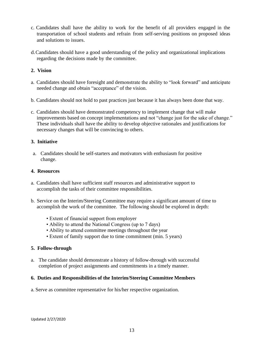- c. Candidates shall have the ability to work for the benefit of all providers engaged in the transportation of school students and refrain from self-serving positions on proposed ideas and solutions to issues.
- d.Candidates should have a good understanding of the policy and organizational implications regarding the decisions made by the committee.

#### **2. Vision**

- a. Candidates should have foresight and demonstrate the ability to "look forward" and anticipate needed change and obtain "acceptance" of the vision.
- b. Candidates should not hold to past practices just because it has always been done that way.
- c. Candidates should have demonstrated competency to implement change that will make improvements based on concept implementations and not "change just for the sake of change." These individuals shall have the ability to develop objective rationales and justifications for necessary changes that will be convincing to others.

#### **3. Initiative**

a. Candidates should be self-starters and motivators with enthusiasm for positive change.

#### **4. Resources**

- a. Candidates shall have sufficient staff resources and administrative support to accomplish the tasks of their committee responsibilities.
- b. Service on the Interim/Steering Committee may require a significant amount of time to accomplish the work of the committee. The following should be explored in depth:
	- Extent of financial support from employer
	- Ability to attend the National Congress (up to 7 days)
	- Ability to attend committee meetings throughout the year
	- Extent of family support due to time commitment (min. 5 years)

#### **5. Follow-through**

a. The candidate should demonstrate a history of follow-through with successful completion of project assignments and commitments in a timely manner.

#### **6. Duties and Responsibilities of the Interim/Steering Committee Members**

a. Serve as committee representative for his/her respective organization.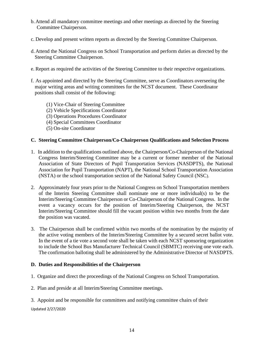- b. Attend all mandatory committee meetings and other meetings as directed by the Steering Committee Chairperson.
- c. Develop and present written reports as directed by the Steering Committee Chairperson.
- d. Attend the National Congress on School Transportation and perform duties as directed by the Steering Committee Chairperson.
- e. Report as required the activities of the Steering Committee to their respective organizations.
- f. As appointed and directed by the Steering Committee, serve as Coordinators overseeing the major writing areas and writing committees for the NCST document. These Coordinator positions shall consist of the following:
	- (1) Vice-Chair of Steering Committee
	- (2) Vehicle Specifications Coordinator
	- (3) Operations Procedures Coordinator
	- (4) Special Committees Coordinator
	- (5) On-site Coordinator

#### **C. Steering Committee Chairperson/Co-Chairperson Qualifications and Selection Process**

- 1. In addition to the qualifications outlined above, the Chairperson/Co-Chairperson of the National Congress Interim/Steering Committee may be a current or former member of the National Association of State Directors of Pupil Transportation Services (NASDPTS), the National Association for Pupil Transportation (NAPT), the National School Transportation Association (NSTA) or the school transportation section of the National Safety Council (NSC).
- 2. Approximately four years prior to the National Congress on School Transportation members of the Interim Steering Committee shall nominate one or more individual(s) to be the Interim/Steering Committee Chairperson or Co-Chairperson of the National Congress. In the event a vacancy occurs for the position of Interim/Steering Chairperson, the NCST Interim/Steering Committee should fill the vacant position within two months from the date the position was vacated.
- 3. The Chairperson shall be confirmed within two months of the nomination by the majority of the active voting members of the Interim/Steering Committee by a secured secret ballot vote. In the event of a tie vote a second vote shall be taken with each NCST sponsoring organization to include the School Bus Manufacturer Technical Council (SBMTC) receiving one vote each. The confirmation balloting shall be administered by the Administrative Director of NASDPTS.

#### **D. Duties and Responsibilities of the Chairperson**

- 1. Organize and direct the proceedings of the National Congress on School Transportation.
- 2. Plan and preside at all Interim/Steering Committee meetings.
- 3. Appoint and be responsible for committees and notifying committee chairs of their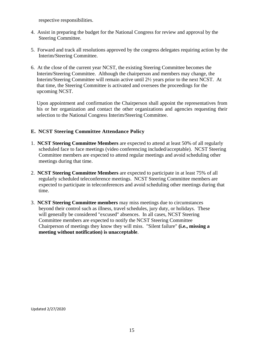respective responsibilities.

- 4. Assist in preparing the budget for the National Congress for review and approval by the Steering Committee.
- 5. Forward and track all resolutions approved by the congress delegates requiring action by the Interim/Steering Committee.
- 6. At the close of the current year NCST, the existing Steering Committee becomes the Interim/Steering Committee. Although the chairperson and members may change, the Interim/Steering Committee will remain active until 2½ years prior to the next NCST. At that time, the Steering Committee is activated and oversees the proceedings for the upcoming NCST.

Upon appointment and confirmation the Chairperson shall appoint the representatives from his or her organization and contact the other organizations and agencies requesting their selection to the National Congress Interim/Steering Committee.

#### **E. NCST Steering Committee Attendance Policy**

- 1. **NCST Steering Committee Members** are expected to attend at least 50% of all regularly scheduled face to face meetings (video conferencing included/acceptable). NCST Steering Committee members are expected to attend regular meetings and avoid scheduling other meetings during that time.
- 2. **NCST Steering Committee Members** are expected to participate in at least 75% of all regularly scheduled teleconference meetings. NCST Steering Committee members are expected to participate in teleconferences and avoid scheduling other meetings during that time.
- 3. **NCST Steering Committee members** may miss meetings due to circumstances beyond their control such as illness, travel schedules, jury duty, or holidays. These will generally be considered "excused" absences. In all cases, NCST Steering Committee members are expected to notify the NCST Steering Committee Chairperson of meetings they know they will miss. "Silent failure" **(i.e., missing a meeting without notification) is unacceptable**.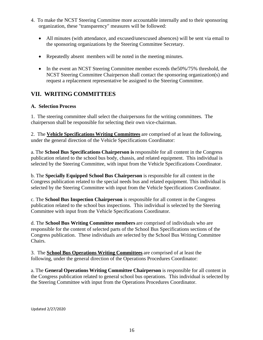- 4. To make the NCST Steering Committee more accountable internally and to their sponsoring organization, these "transparency" measures will be followed:
	- All minutes (with attendance, and excused/unexcused absences) will be sent via email to the sponsoring organizations by the Steering Committee Secretary.
	- Repeatedly absent members will be noted in the meeting minutes.
	- In the event an NCST Steering Committee member exceeds the 50%/75% threshold, the NCST Steering Committee Chairperson shall contact the sponsoring organization(s) and request a replacement representative be assigned to the Steering Committee.

# **VII. WRITING COMMITTEES**

#### **A. Selection Process**

1. The steering committee shall select the chairpersons for the writing committees. The chairperson shall be responsible for selecting their own vice-chairman.

2. The **Vehicle Specifications Writing Committees** are comprised of at least the following, under the general direction of the Vehicle Specifications Coordinator:

a. The **School Bus Specifications Chairperson is** responsible for all content in the Congress publication related to the school bus body, chassis, and related equipment. This individual is selected by the Steering Committee, with input from the Vehicle Specifications Coordinator.

b. The **Specially Equipped School Bus Chairperson** is responsible for all content in the Congress publication related to the special needs bus and related equipment. This individual is selected by the Steering Committee with input from the Vehicle Specifications Coordinator.

c. The **School Bus Inspection Chairperson** is responsible for all content in the Congress publication related to the school bus inspections. This individual is selected by the Steering Committee with input from the Vehicle Specifications Coordinator.

d. The **School Bus Writing Committee members** are comprised of individuals who are responsible for the content of selected parts of the School Bus Specifications sections of the Congress publication. These individuals are selected by the School Bus Writing Committee Chairs.

3. The **School Bus Operations Writing Committees** are comprised of at least the following, under the general direction of the Operations Procedures Coordinator:

a. The **General Operations Writing Committee Chairperson** is responsible for all content in the Congress publication related to general school bus operations. This individual is selected by the Steering Committee with input from the Operations Procedures Coordinator.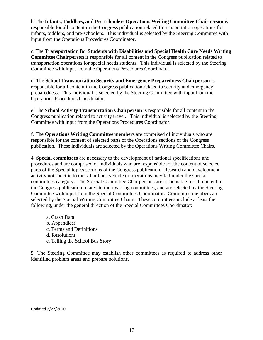b.The **Infants, Toddlers, and Pre-schoolers Operations Writing Committee Chairperson** is responsible for all content in the Congress publication related to transportation operations for infants, toddlers, and pre-schoolers. This individual is selected by the Steering Committee with input from the Operations Procedures Coordinator.

c. The **Transportation for Students with Disabilities and Special Health Care Needs Writing Committee Chairperson** is responsible for all content in the Congress publication related to transportation operations for special needs students. This individual is selected by the Steering Committee with input from the Operations Procedures Coordinator.

d. The **School Transportation Security and Emergency Preparedness Chairperson** is responsible for all content in the Congress publication related to security and emergency preparedness. This individual is selected by the Steering Committee with input from the Operations Procedures Coordinator.

e. The **School Activity Transportation Chairperson** is responsible for all content in the Congress publication related to activity travel. This individual is selected by the Steering Committee with input from the Operations Procedures Coordinator.

f. The **Operations Writing Committee members** are comprised of individuals who are responsible for the content of selected parts of the Operations sections of the Congress publication. These individuals are selected by the Operations Writing Committee Chairs.

4. **Special committees** are necessary to the development of national specifications and procedures and are comprised of individuals who are responsible for the content of selected parts of the Special topics sections of the Congress publication. Research and development activity not specific to the school bus vehicle or operations may fall under the special committees category. The Special Committee Chairpersons are responsible for all content in the Congress publication related to their writing committees, and are selected by the Steering Committee with input from the Special Committees Coordinator. Committee members are selected by the Special Writing Committee Chairs. These committees include at least the following, under the general direction of the Special Committees Coordinator:

a. Crash Data b. Appendices c. Terms and Definitions d. Resolutions e. Telling the School Bus Story

5. The Steering Committee may establish other committees as required to address other identified problem areas and prepare solutions.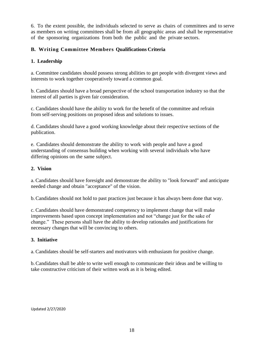6. To the extent possible, the individuals selected to serve as chairs of committees and to serve as members on writing committees shall be from all geographic areas and shall be representative of the sponsoring organizations from both the public and the private sectors.

#### **B. Writing Committee Members Qualifications Criteria**

#### **1. Leadership**

a. Committee candidates should possess strong abilities to get people with divergent views and interests to work together cooperatively toward a common goal.

b. Candidates should have a broad perspective of the school transportation industry so that the interest of all parties is given fair consideration.

c. Candidates should have the ability to work for the benefit of the committee and refrain from self-serving positions on proposed ideas and solutions to issues.

d. Candidates should have a good working knowledge about their respective sections of the publication.

e. Candidates should demonstrate the ability to work with people and have a good understanding of consensus building when working with several individuals who have differing opinions on the same subject.

#### **2. Vision**

a. Candidates should have foresight and demonstrate the ability to "look forward" and anticipate needed change and obtain "acceptance" of the vision.

b.Candidates should not hold to past practices just because it has always been done that way.

c. Candidates should have demonstrated competency to implement change that will make improvements based upon concept implementation and not "change just for the sake of change." These persons shall have the ability to develop rationales and justifications for necessary changes that will be convincing to others.

#### **3. Initiative**

a. Candidates should be self-starters and motivators with enthusiasm for positive change.

b.Candidates shall be able to write well enough to communicate their ideas and be willing to take constructive criticism of their written work as it is being edited.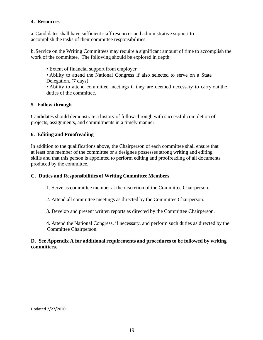#### **4. Resources**

a. Candidates shall have sufficient staff resources and administrative support to accomplish the tasks of their committee responsibilities.

b. Service on the Writing Committees may require a significant amount of time to accomplish the work of the committee. The following should be explored in depth:

• Extent of financial support from employer

• Ability to attend the National Congress if also selected to serve on a State Delegation, (7 days)

• Ability to attend committee meetings if they are deemed necessary to carry out the duties of the committee.

#### **5. Follow-through**

Candidates should demonstrate a history of follow-through with successful completion of projects, assignments, and commitments in a timely manner.

#### **6. Editing and Proofreading**

In addition to the qualifications above, the Chairperson of each committee shall ensure that at least one member of the committee or a designee possesses strong writing and editing skills and that this person is appointed to perform editing and proofreading of all documents produced by the committee.

#### **C. Duties and Responsibilities of Writing Committee Members**

- 1. Serve as committee member at the discretion of the Committee Chairperson.
- 2. Attend all committee meetings as directed by the Committee Chairperson.
- 3. Develop and present written reports as directed by the Committee Chairperson.
- 4. Attend the National Congress, if necessary, and perform such duties as directed by the Committee Chairperson.

#### **D. See Appendix A for additional requirements and procedures to be followed by writing committees.**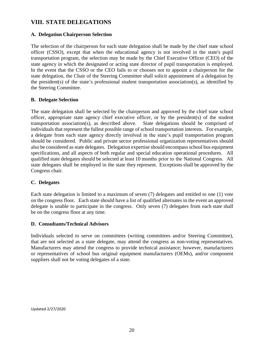# **VIII. STATE DELEGATIONS**

#### **A. Delegation Chairperson Selection**

The selection of the chairperson for each state delegation shall be made by the chief state school officer (CSSO), except that when the educational agency is not involved in the state's pupil transportation program, the selection may be made by the Chief Executive Officer (CEO) of the state agency in which the designated or acting state director of pupil transportation is employed. In the event that the CSSO or the CEO fails to or chooses not to appoint a chairperson for the state delegation, the Chair of the Steering Committee shall solicit appointment of a delegation by the president(s) of the state's professional student transportation association(s), as identified by the Steering Committee.

#### **B. Delegate Selection**

The state delegation shall be selected by the chairperson and approved by the chief state school officer, appropriate state agency chief executive officer, or by the president(s) of the student transportation association(s), as described above. State delegations should be comprised of individuals that represent the fullest possible range of school transportation interests. For example, a delegate from each state agency directly involved in the state's pupil transportation program should be considered. Public and private sector professional organization representatives should also be considered as state delegates. Delegation expertise should encompass school bus equipment specifications, and all aspects of both regular and special education operational procedures. All qualified state delegates should be selected at least 10 months prior to the National Congress. All state delegates shall be employed in the state they represent. Exceptions shall be approved by the Congress chair.

#### **C. Delegates**

Each state delegation is limited to a maximum of seven (7) delegates and entitled to one (1) vote on the congress floor. Each state should have a list of qualified alternates in the event an approved delegate is unable to participate in the congress. Only seven (7) delegates from each state shall be on the congress floor at any time.

#### **D. Consultants/Technical Advisors**

Individuals selected to serve on committees (writing committees and/or Steering Committee), that are not selected as a state delegate, may attend the congress as non-voting representatives. Manufacturers may attend the congress to provide technical assistance; however, manufacturers or representatives of school bus original equipment manufacturers (OEMs), and/or component suppliers shall not be voting delegates of a state.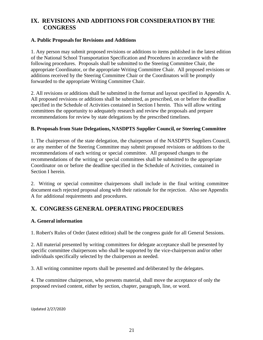# **IX. REVISIONS AND ADDITIONS FOR CONSIDERATION BY THE CONGRESS**

#### **A. Public Proposals for Revisions and Additions**

1. Any person may submit proposed revisions or additions to items published in the latest edition of the National School Transportation Specification and Procedures in accordance with the following procedures. Proposals shall be submitted to the Steering Committee Chair, the appropriate Coordinator, or the appropriate Writing Committee Chair. All proposed revisions or additions received by the Steering Committee Chair or the Coordinators will be promptly forwarded to the appropriate Writing Committee Chair.

2. All revisions or additions shall be submitted in the format and layout specified in Appendix A. All proposed revisions or additions shall be submitted, as prescribed, on or before the deadline specified in the Schedule of Activities contained in Section I herein. This will allow writing committees the opportunity to adequately research and review the proposals and prepare recommendations for review by state delegations by the prescribed timelines.

#### **B. Proposals from State Delegations, NASDPTS Supplier Council, or Steering Committee**

1. The chairperson of the state delegation, the chairperson of the NASDPTS Suppliers Council, or any member of the Steering Committee may submit proposed revisions or additions to the recommendations of each writing or special committee. All proposed changes to the recommendations of the writing or special committees shall be submitted to the appropriate Coordinator on or before the deadline specified in the Schedule of Activities, contained in Section I herein.

2. Writing or special committee chairpersons shall include in the final writing committee document each rejected proposal along with their rationale for the rejection. Also see Appendix A for additional requirements and procedures.

# **X. CONGRESS GENERAL OPERATING PROCEDURES**

#### **A. General information**

1. Robert's Rules of Order (latest edition) shall be the congress guide for all General Sessions.

2. All material presented by writing committees for delegate acceptance shall be presented by specific committee chairpersons who shall be supported by the vice-chairperson and/or other individuals specifically selected by the chairperson as needed.

3. All writing committee reports shall be presented and deliberated by the delegates.

4. The committee chairperson, who presents material, shall move the acceptance of only the proposed revised content, either by section, chapter, paragraph, line, or word.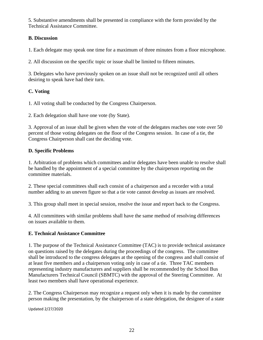5. Substantive amendments shall be presented in compliance with the form provided by the Technical Assistance Committee.

#### **B. Discussion**

1. Each delegate may speak one time for a maximum of three minutes from a floor microphone.

2. All discussion on the specific topic or issue shall be limited to fifteen minutes.

3. Delegates who have previously spoken on an issue shall not be recognized until all others desiring to speak have had their turn.

#### **C. Voting**

1. All voting shall be conducted by the Congress Chairperson.

2. Each delegation shall have one vote (by State).

3. Approval of an issue shall be given when the vote of the delegates reaches one vote over 50 percent of those voting delegates on the floor of the Congress session. In case of a tie, the Congress Chairperson shall cast the deciding vote.

#### **D. Specific Problems**

1. Arbitration of problems which committees and/or delegates have been unable to resolve shall be handled by the appointment of a special committee by the chairperson reporting on the committee materials.

2. These special committees shall each consist of a chairperson and a recorder with a total number adding to an uneven figure so that a tie vote cannot develop as issues are resolved.

3. This group shall meet in special session, resolve the issue and report back to the Congress.

4. All committees with similar problems shall have the same method of resolving differences on issues available to them.

#### **E. Technical Assistance Committee**

1. The purpose of the Technical Assistance Committee (TAC) is to provide technical assistance on questions raised by the delegates during the proceedings of the congress. The committee shall be introduced to the congress delegates at the opening of the congress and shall consist of at least five members and a chairperson voting only in case of a tie. Three TAC members representing industry manufacturers and suppliers shall be recommended by the School Bus Manufacturers Technical Council (SBMTC) with the approval of the Steering Committee. At least two members shall have operational experience.

2. The Congress Chairperson may recognize a request only when it is made by the committee person making the presentation, by the chairperson of a state delegation, the designee of a state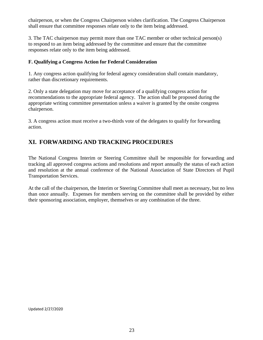chairperson, or when the Congress Chairperson wishes clarification. The Congress Chairperson shall ensure that committee responses relate only to the item being addressed.

3. The TAC chairperson may permit more than one TAC member or other technical person(s) to respond to an item being addressed by the committee and ensure that the committee responses relate only to the item being addressed.

#### **F. Qualifying a Congress Action for Federal Consideration**

1. Any congress action qualifying for federal agency consideration shall contain mandatory, rather than discretionary requirements.

2. Only a state delegation may move for acceptance of a qualifying congress action for recommendations to the appropriate federal agency. The action shall be proposed during the appropriate writing committee presentation unless a waiver is granted by the onsite congress chairperson.

3. A congress action must receive a two-thirds vote of the delegates to qualify for forwarding action.

# **XI. FORWARDING AND TRACKING PROCEDURES**

The National Congress Interim or Steering Committee shall be responsible for forwarding and tracking all approved congress actions and resolutions and report annually the status of each action and resolution at the annual conference of the National Association of State Directors of Pupil Transportation Services.

At the call of the chairperson, the Interim or Steering Committee shall meet as necessary, but no less than once annually. Expenses for members serving on the committee shall be provided by either their sponsoring association, employer, themselves or any combination of the three.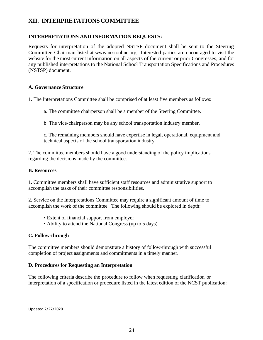# **XII. INTERPRETATIONS COMMITTEE**

#### **INTERPRETATIONS AND INFORMATION REQUESTS:**

Requests for interpretation of the adopted NSTSP document shall be sent to the Steering Committee Chairman listed at [www.ncstonline.org.](http://www.ncstonline.org/) Interested parties are encouraged to visit the website for the most current information on all aspects of the current or prior Congresses, and for any published interpretations to the National School Transportation Specifications and Procedures (NSTSP) document.

#### **A. Governance Structure**

1. The Interpretations Committee shall be comprised of at least five members as follows:

a. The committee chairperson shall be a member of the Steering Committee.

b. The vice-chairperson may be any school transportation industry member.

c. The remaining members should have expertise in legal, operational, equipment and technical aspects of the school transportation industry.

2. The committee members should have a good understanding of the policy implications regarding the decisions made by the committee.

#### **B. Resources**

1. Committee members shall have sufficient staff resources and administrative support to accomplish the tasks of their committee responsibilities.

2. Service on the Interpretations Committee may require a significant amount of time to accomplish the work of the committee. The following should be explored in depth:

- Extent of financial support from employer
- Ability to attend the National Congress (up to 5 days)

#### **C. Follow-through**

The committee members should demonstrate a history of follow-through with successful completion of project assignments and commitments in a timely manner.

#### **D. Procedures for Requesting an Interpretation**

The following criteria describe the procedure to follow when requesting clarification or interpretation of a specification or procedure listed in the latest edition of the NCST publication: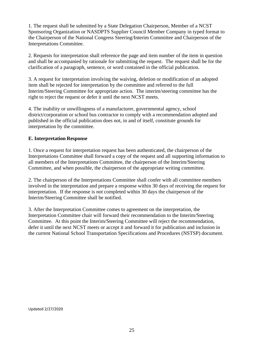1. The request shall be submitted by a State Delegation Chairperson, Member of a NCST Sponsoring Organization or NASDPTS Supplier Council Member Company in typed format to the Chairperson of the National Congress Steering/Interim Committee and Chairperson of the Interpretations Committee.

2. Requests for interpretation shall reference the page and item number of the item in question and shall be accompanied by rationale for submitting the request. The request shall be for the clarification of a paragraph, sentence, or word contained in the official publication.

3. A request for interpretation involving the waiving, deletion or modification of an adopted item shall be rejected for interpretation by the committee and referred to the full Interim/Steering Committee for appropriate action. The interim/steering committee has the right to reject the request or defer it until the next NCST meets.

4. The inability or unwillingness of a manufacturer, governmental agency, school district/corporation or school bus contractor to comply with a recommendation adopted and published in the official publication does not, in and of itself, constitute grounds for interpretation by the committee.

#### **E. Interpretation Response**

1. Once a request for interpretation request has been authenticated, the chairperson of the Interpretations Committee shall forward a copy of the request and all supporting information to all members of the Interpretations Committee, the chairperson of the Interim/Steering Committee, and when possible, the chairperson of the appropriate writing committee.

2. The chairperson of the Interpretations Committee shall confer with all committee members involved in the interpretation and prepare a response within 30 days of receiving the request for interpretation. If the response is not completed within 30 days the chairperson of the Interim/Steering Committee shall be notified.

3. After the Interpretation Committee comes to agreement on the interpretation, the Interpretation Committee chair will forward their recommendation to the Interim/Steering Committee. At this point the Interim/Steering Committee will reject the recommendation, defer it until the next NCST meets or accept it and forward it for publication and inclusion in the current National School Transportation Specifications and Procedures (NSTSP) document.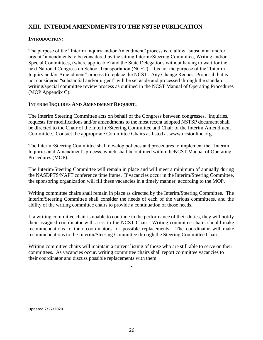# **XIII. INTERIM AMENDMENTS TO THE NSTSP PUBLICATION**

#### **INTRODUCTION:**

The purpose of the "Interim Inquiry and/or Amendment" process is to allow "substantial and/or urgent" amendments to be considered by the sitting Interim/Steering Committee, Writing and/or Special Committees, (where applicable) and the State Delegations without having to wait for the next National Congress on School Transportation (NCST). It is not the purpose of the "Interim Inquiry and/or Amendment" process to replace the NCST. Any Change Request Proposal that is not considered "substantial and/or urgent" will be set aside and processed through the standard writing/special committee review process as outlined in the NCST Manual of Operating Procedures (MOP Appendix C).

#### **INTERIM INQUIRES AND AMENDMENT REQUEST:**

The Interim Steering Committee acts on behalf of the Congress between congresses. Inquiries, requests for modifications and/or amendments to the most recent adopted NSTSP document shall be directed to the Chair of the Interim/Steering Committee and Chair of the Interim Amendment Committee. Contact the appropriate Committee Chairs as listed at [www.ncstonline.org.](http://www.ncstonline.org/)

The Interim/Steering Committee shall develop policies and procedures to implement the "Interim Inquiries and Amendment" process, which shall be outlined within theNCST Manual of Operating Procedures (MOP).

The Interim/Steering Committee will remain in place and will meet a minimum of annually during the NASDPTS/NAPT conference time frame. If vacancies occur in the Interim/Steering Committee, the sponsoring organization will fill these vacancies in a timely manner, according to the MOP.

Writing committee chairs shall remain in place as directed by the Interim/Steering Committee. The Interim/Steering Committee shall consider the needs of each of the various committees, and the ability of the writing committee chairs to provide a continuation of those needs.

If a writing committee chair is unable to continue in the performance of their duties, they will notify their assigned coordinator with a cc: to the NCST Chair. Writing committee chairs should make recommendations to their coordinators for possible replacements. The coordinator will make recommendations to the Interim/Steering Committee through the Steering Committee Chair.

Writing committee chairs will maintain a current listing of those who are still able to serve on their committees. As vacancies occur, writing committee chairs shall report committee vacancies to their coordinator and discuss possible replacements with them.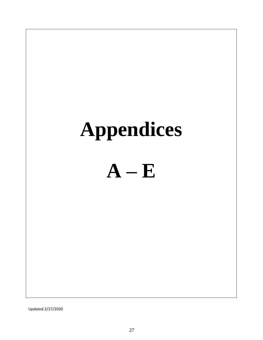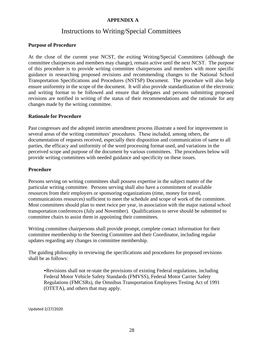#### **APPENDIX A**

# Instructions to Writing/Special Committees

#### **Purpose of Procedure**

At the close of the current year NCST, the exiting Writing/Special Committees (although the committee chairperson and members may change), remain active until the next NCST. The purpose of this procedure is to provide writing committee chairpersons and members with more specific guidance in researching proposed revisions and recommending changes to the National School Transportation Specifications and Procedures (NSTSP) Document. The procedure will also help ensure uniformity in the scope of the document. It will also provide standardization of the electronic and writing format to be followed and ensure that delegates and persons submitting proposed revisions are notified in writing of the status of their recommendations and the rationale for any changes made by the writing committee.

#### **Rationale for Procedure**

Past congresses and the adopted interim amendment process illustrate a need for improvement in several areas of the writing committees' procedures. These included, among others, the documentation of requests received, especially their disposition and communication of same to all parties, the efficacy and uniformity of the word processing format used, and variations in the perceived scope and purpose of the document by various committees. The procedures below will provide writing committees with needed guidance and specificity on these issues.

#### **Procedure**

Persons serving on writing committees shall possess expertise in the subject matter of the particular writing committee. Persons serving shall also have a commitment of available resources from their employers or sponsoring organizations (time, money for travel, communications resources) sufficient to meet the schedule and scope of work of the committee. Most committees should plan to meet twice per year, in association with the major national school transportation conferences (July and November). Qualifications to serve should be submitted to committee chairs to assist them in appointing their committees.

Writing committee chairpersons shall provide prompt, complete contact information for their committee membership to the Steering Committee and their Coordinator, including regular updates regarding any changes in committee membership.

The guiding philosophy in reviewing the specifications and procedures for proposed revisions shall be as follows:

•Revisions shall not re-state the provisions of existing Federal regulations, including Federal Motor Vehicle Safety Standards (FMVSS), Federal Motor Carrier Safety Regulations (FMCSRs), the Omnibus Transportation Employees Testing Act of 1991 (OTETA), and others that may apply.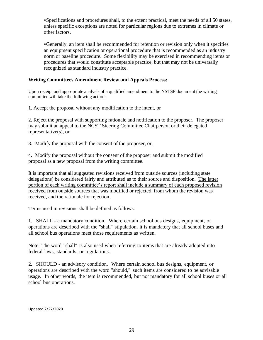•Specifications and procedures shall, to the extent practical, meet the needs of all 50 states, unless specific exceptions are noted for particular regions due to extremes in climate or other factors.

•Generally, an item shall be recommended for retention or revision only when it specifies an equipment specification or operational procedure that is recommended as an industry norm or baseline procedure. Some flexibility may be exercised in recommending items or procedures that would constitute acceptable practice, but that may not be universally recognized as standard industry practice.

#### **Writing Committees Amendment Review and Appeals Process:**

Upon receipt and appropriate analysis of a qualified amendment to the NSTSP document the writing committee will take the following action:

1. Accept the proposal without any modification to the intent, or

2. Reject the proposal with supporting rationale and notification to the proposer. The proposer may submit an appeal to the NCST Steering Committee Chairperson or their delegated representative(s), or

3. Modify the proposal with the consent of the proposer, or,

4. Modify the proposal without the consent of the proposer and submit the modified proposal as a new proposal from the writing committee.

It is important that all suggested revisions received from outside sources (including state delegations) be considered fairly and attributed as to their source and disposition. The latter portion of each writing committee's report shall include a summary of each proposed revision received from outside sources that was modified or rejected, from whom the revision was received, and the rationale for rejection.

Terms used in revisions shall be defined as follows:

1. SHALL - a mandatory condition. Where certain school bus designs, equipment, or operations are described with the "shall" stipulation, it is mandatory that all school buses and all school bus operations meet those requirements as written.

Note: The word "shall" is also used when referring to items that are already adopted into federal laws, standards, or regulations.

2. SHOULD - an advisory condition. Where certain school bus designs, equipment, or operations are described with the word "should," such items are considered to be advisable usage. In other words, the item is recommended, but not mandatory for all school buses or all school bus operations.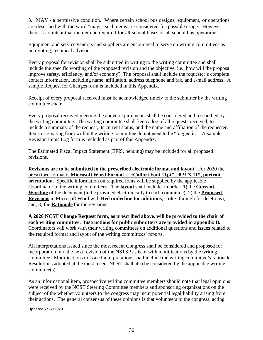3. MAY - a permissive condition. Where certain school bus designs, equipment, or operations are described with the word "may," such items are considered for possible usage. However, there is no intent that the item be required for all school buses or all school bus operations.

Equipment and service vendors and suppliers are encouraged to serve on writing committees as non-voting, technical advisors.

Every proposal for revision shall be submitted in writing to the writing committee and shall include the specific wording of the proposed revision and the objective, i.e., how will the proposal improve safety, efficiency, and/or economy? The proposal shall include the requester's complete contact information, including name, affiliation, address telephone and fax, and e-mail address. A sample Request for Changes form is included in this Appendix.

Receipt of every proposal received must be acknowledged timely to the submitter by the writing committee chair.

Every proposal received meeting the above requirements shall be considered and researched by the writing committee. The writing committee shall keep a log of all requests received, to include a summary of the request, its current status, and the name and affiliation of the requester. Items originating from within the writing committee do not need to be "logged in." A sample Revision Items Log form is included as part of this Appendix.

The Estimated Fiscal Impact Statement (EFIS, pending) may be included for all proposed revisions.

**Revisions are to be submitted in the prescribed electronic format and layout**. For 2020 the prescribed format is **Microsoft Word Format… "Calibri Font 11pt" "8 ½ X 11", portrait orientation**. Specific information on required fonts will be supplied by the applicable Coordinator to the writing committees. The **layout** shall include. in order: 1) the **Current Wording** of the document (to be provided electronically to each committee); 2) the **Proposed Revisions** in Microsoft Word with **Red underline for additions**, strike- through for deletions); and, 3) the **Rationale** for the revisions.

**A 2020 NCST Change Request form, as prescribed above, will be provided to the chair of each writing committee. Instructions for public submitters are provided in appendix B.**  Coordinators will work with their writing committees on additional questions and issues related to the required format and layout of the writing committees' reports.

All interpretations issued since the most recent Congress shall be considered and proposed for incorporation into the next revision of the NSTSP as is or with modifications by the writing committee. Modifications to issued interpretations shall include the writing committee's rationale. Resolutions adopted at the most recent NCST shall also be considered by the applicable writing committee(s).

As an informational item, prospective writing committee members should note that legal opinions were received by the NCST Steering Committee members and sponsoring organizations on the subject of the whether volunteers to the congress may incur potential legal liability arising from their actions. The general consensus of these opinions is that volunteers to the congress, acting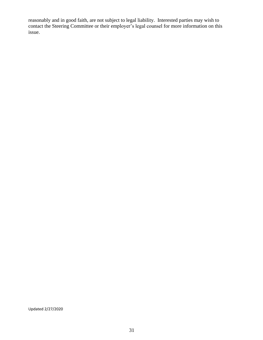reasonably and in good faith, are not subject to legal liability. Interested parties may wish to contact the Steering Committee or their employer's legal counsel for more information on this issue.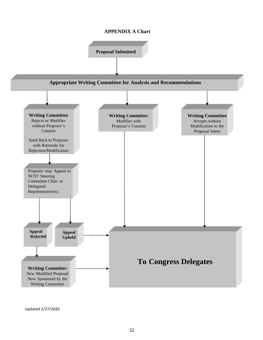#### **APPENDIX A Chart**

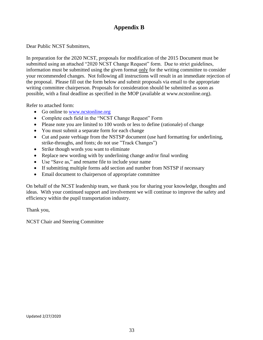# **Appendix B**

Dear Public NCST Submitters,

In preparation for the 2020 NCST, proposals for modification of the 2015 Document must be submitted using an attached "2020 NCST Change Request" form. Due to strict guidelines, information must be submitted using the given format only for the writing committee to consider your recommended changes. Not following all instructions will result in an immediate rejection of the proposal. Please fill out the form below and submit proposals via email to the appropriate writing committee chairperson. Proposals for consideration should be submitted as soon as possible, with a final deadline as specified in the MOP (available at www.ncstonline.org).

Refer to attached form:

- Go online to [www.ncstonline.org](http://www.ncstonline.org/)
- Complete each field in the "NCST Change Request" Form
- Please note you are limited to 100 words or less to define (rationale) of change
- You must submit a separate form for each change
- Cut and paste verbiage from the NSTSP document (use hard formatting for underlining, strike-throughs, and fonts; do not use "Track Changes")
- Strike though words you want to eliminate
- Replace new wording with by underlining change and/or final wording
- Use "Save as," and rename file to include your name
- If submitting multiple forms add section and number from NSTSP if necessary
- Email document to chairperson of appropriate committee

On behalf of the NCST leadership team, we thank you for sharing your knowledge, thoughts and ideas. With your continued support and involvement we will continue to improve the safety and efficiency within the pupil transportation industry.

Thank you,

NCST Chair and Steering Committee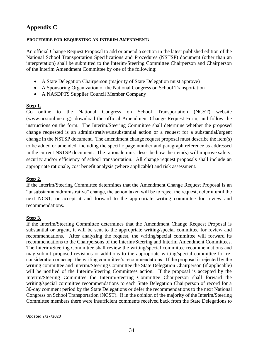# **Appendix C**

#### **PROCEDURE FOR REQUESTING AN INTERIM AMENDMENT:**

An official Change Request Proposal to add or amend a section in the latest published edition of the National School Transportation Specifications and Procedures (NSTSP) document (other than an interpretation) shall be submitted to the Interim/Steering Committee Chairperson and Chairperson of the Interim Amendment Committee by one of the following:

- A State Delegation Chairperson (majority of State Delegation must approve)
- A Sponsoring Organization of the National Congress on School Transportation
- A NASDPTS Supplier Council Member Company

#### **Step 1.**

Go online to the National Congress on School Transportation (NCST) website [\(www.ncstonline.org\)](http://www.ncstonline.org/), download the official Amendment Change Request Form, and follow the instructions on the form. The Interim/Steering Committee shall determine whether the proposed change requested is an administrative/unsubstantial action or a request for a substantial/urgent change in the NSTSP document. The amendment change request proposal must describe the item(s) to be added or amended, including the specific page number and paragraph reference as addressed in the current NSTSP document. The rationale must describe how the item(s) will improve safety, security and/or efficiency of school transportation. All change request proposals shall include an appropriate rationale, cost benefit analysis (where applicable) and risk assessment.

#### **Step 2.**

If the Interim/Steering Committee determines that the Amendment Change Request Proposal is an "unsubstantial/administrative" change, the action taken will be to reject the request, defer it until the next NCST, or accept it and forward to the appropriate writing committee for review and recommendations.

#### **Step 3.**

If the Interim/Steering Committee determines that the Amendment Change Request Proposal is substantial or urgent, it will be sent to the appropriate writing/special committee for review and recommendations. After analyzing the request, the writing/special committee will forward its recommendations to the Chairpersons of the Interim/Steering and Interim Amendment Committees. The Interim/Steering Committee shall review the writing/special committee recommendations and may submit proposed revisions or additions to the appropriate writing/special committee for reconsideration or accept the writing committee's recommendations. If the proposal is rejected by the writing committee and Interim/Steering Committee the State Delegation Chairperson (if applicable) will be notified of the Interim/Steering Committees action. If the proposal is accepted by the Interim/Steering Committee the Interim/Steering Committee Chairperson shall forward the writing/special committee recommendations to each State Delegation Chairperson of record for a 30-day comment period by the State Delegations or defer the recommendations to the next National Congress on School Transportation (NCST). If in the opinion of the majority of the Interim/Steering Committee members there were insufficient comments received back from the State Delegations to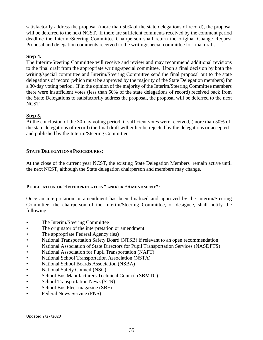satisfactorily address the proposal (more than 50% of the state delegations of record), the proposal will be deferred to the next NCST. If there are sufficient comments received by the comment period deadline the Interim/Steering Committee Chairperson shall return the original Change Request Proposal and delegation comments received to the writing/special committee for final draft.

#### **Step 4.**

The Interim/Steering Committee will receive and review and may recommend additional revisions to the final draft from the appropriate writing/special committee. Upon a final decision by both the writing/special committee and Interim/Steering Committee send the final proposal out to the state delegations of record (which must be approved by the majority of the State Delegation members) for a 30-day voting period. If in the opinion of the majority of the Interim/Steering Committee members there were insufficient votes (less than 50% of the state delegations of record) received back from the State Delegations to satisfactorily address the proposal, the proposal will be deferred to the next NCST.

#### **Step 5.**

At the conclusion of the 30-day voting period, if sufficient votes were received, (more than 50% of the state delegations of record) the final draft will either be rejected by the delegations or accepted and published by the Interim/Steering Committee.

#### **STATE DELEGATIONS PROCEDURES:**

At the close of the current year NCST, the existing State Delegation Members remain active until the next NCST, although the State delegation chairperson and members may change.

#### **PUBLICATION OF "INTERPRETATION" AND/OR "AMENDMENT":**

Once an interpretation or amendment has been finalized and approved by the Interim/Steering Committee, the chairperson of the Interim/Steering Committee, or designee, shall notify the following:

- The Interim/Steering Committee
- The originator of the interpretation or amendment
- The appropriate Federal Agency (ies)
- National Transportation Safety Board (NTSB) if relevant to an open recommendation
- National Association of State Directors for Pupil Transportation Services (NASDPTS)
- National Association for Pupil Transportation (NAPT)
- National School Transportation Association (NSTA)
- National School Boards Association (NSBA)
- National Safety Council (NSC)
- School Bus Manufacturers Technical Council (SBMTC)
- School Transportation News (STN)
- School Bus Fleet magazine (SBF)
- Federal News Service (FNS)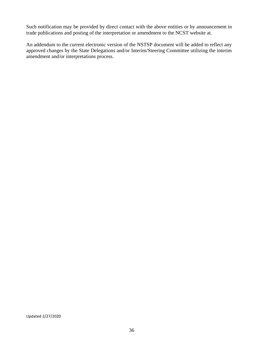Such notification may be provided by direct contact with the above entities or by announcement in trade publications and posting of the interpretation or amendment to the NCST website at.

An addendum to the current electronic version of the NSTSP document will be added to reflect any approved changes by the State Delegations and/or Interim/Steering Committee utilizing the interim amendment and/or interpretations process.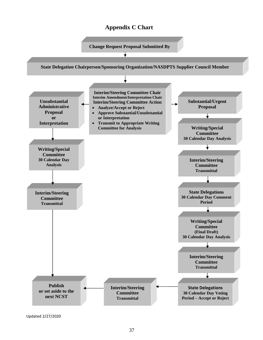# **Appendix C Chart**



Updated 2/27/2020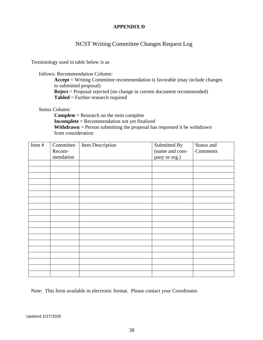#### **APPENDIX D**

### NCST Writing Committee Changes Request Log

Terminology used in table below is as

follows: Recommendation Column:

**Accept** = Writing Committee recommendation is favorable (may include changes to submitted proposal) **Reject** = Proposal rejected (no change in current document recommended) **Tabled** = Further research required

Status Column:

**Complete** = Research on the item complete **Incomplete** = Recommendation not yet finalized **Withdrawn** = Person submitting the proposal has requested it be withdrawn from consideration

| Item# | Committee | Item Description | Submitted By   | Status and |
|-------|-----------|------------------|----------------|------------|
|       | Recom-    |                  | (name and com- | Comments   |
|       | mendation |                  | pany or org.)  |            |
|       |           |                  |                |            |
|       |           |                  |                |            |
|       |           |                  |                |            |
|       |           |                  |                |            |
|       |           |                  |                |            |
|       |           |                  |                |            |
|       |           |                  |                |            |
|       |           |                  |                |            |
|       |           |                  |                |            |
|       |           |                  |                |            |
|       |           |                  |                |            |
|       |           |                  |                |            |
|       |           |                  |                |            |
|       |           |                  |                |            |
|       |           |                  |                |            |
|       |           |                  |                |            |
|       |           |                  |                |            |
|       |           |                  |                |            |
|       |           |                  |                |            |

Note: This form available in electronic format. Please contact your Coordinator.